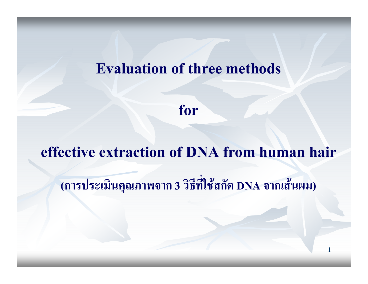#### **Evaluation of three methods**

for

#### effective extraction of DNA from human hair

(การประเมินคุณภาพจาก 3 วิธีที่ใช้สกัด DNA จากเส้นผม)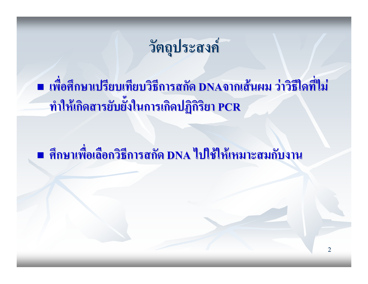### วัตถุประสงค์

■ เพื่อศึกษาเปรียบเทียบวิธีการสกัด DNAจากเส้นผม ว่าวิธีใดที่ไม่ ทำให้เกิดสารยับยั้งในการเกิดปฏิกิริยา PCR

■ ศึกษาเพื่อเลือกวิธีการสกัด DNA ไปใช้ให้เหมาะสมกับงาน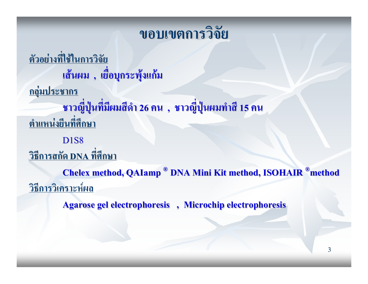#### ขอบเขตการวิจัย

ตัวอย่างที่ใช้ในการวิจัย เส้นผม , เยื่อบุกระพุ้งแก้ม <u>กลุ่มประชากร</u> ิชาวญี่ปุ่นที่มีผมสีดำ 26 คน ,ชาวญี่ปุ่นผมทำสี 15 คน ็ตำแหน่งยืนที่ศึกษา **D1S8** <u>วิธีการสกัด DNA ที่ศึกษา</u> **Chelex method, QAIamp<sup>®</sup> DNA Mini Kit method, ISOHAIR<sup>®</sup>method** <u>วิธีการวิเคราะห์ผล</u>

**Agarose gel electrophoresis**, Microchip electrophoresis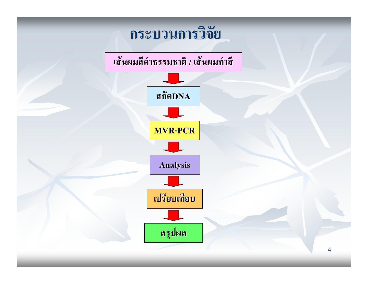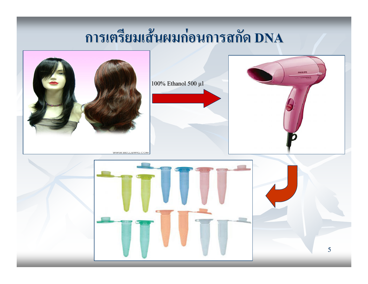## การเตรียมเส้นผมก่อนการสกัด DNA

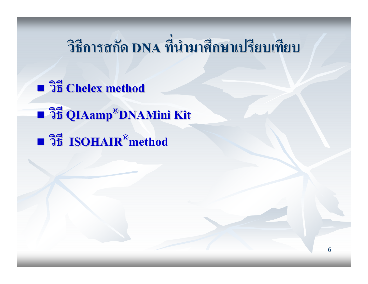## วิธีการสกัด DNA ที่นำมาศึกษาเปรียบเทียบ

**n**  $3\overline{5}$  Chelex method **Film Oldamp®DNAMini Kit** Bi ISOHAIR®method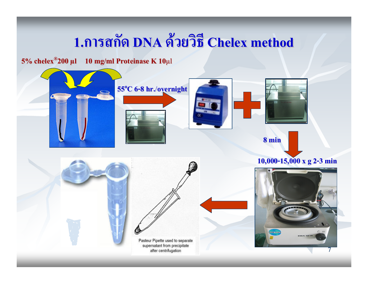